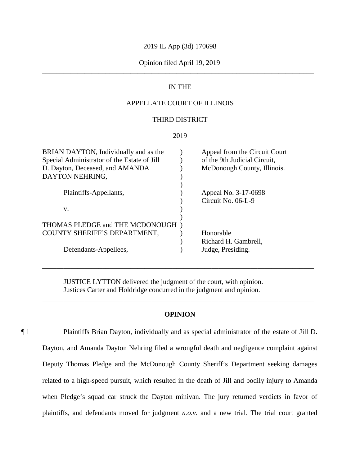# 2019 IL App (3d) 170698

# Opinion filed April 19, 2019 \_\_\_\_\_\_\_\_\_\_\_\_\_\_\_\_\_\_\_\_\_\_\_\_\_\_\_\_\_\_\_\_\_\_\_\_\_\_\_\_\_\_\_\_\_\_\_\_\_\_\_\_\_\_\_\_\_\_\_\_\_\_\_\_\_\_\_\_\_\_\_\_\_\_\_\_\_

# IN THE

# APPELLATE COURT OF ILLINOIS

# THIRD DISTRICT

### 2019

| BRIAN DAYTON, Individually and as the<br>Special Administrator of the Estate of Jill<br>D. Dayton, Deceased, and AMANDA<br>DAYTON NEHRING, | Appeal from the Circuit Court<br>of the 9th Judicial Circuit,<br>McDonough County, Illinois. |
|--------------------------------------------------------------------------------------------------------------------------------------------|----------------------------------------------------------------------------------------------|
| Plaintiffs-Appellants,                                                                                                                     | Appeal No. 3-17-0698<br>Circuit No. 06-L-9                                                   |
| V.                                                                                                                                         |                                                                                              |
| THOMAS PLEDGE and THE MCDONOUGH)                                                                                                           |                                                                                              |
| COUNTY SHERIFF'S DEPARTMENT,                                                                                                               | Honorable                                                                                    |
|                                                                                                                                            |                                                                                              |
|                                                                                                                                            | Richard H. Gambrell,                                                                         |
| Defendants-Appellees,                                                                                                                      | Judge, Presiding.                                                                            |
|                                                                                                                                            |                                                                                              |

JUSTICE LYTTON delivered the judgment of the court, with opinion. Justices Carter and Holdridge concurred in the judgment and opinion.

# **OPINION**

\_\_\_\_\_\_\_\_\_\_\_\_\_\_\_\_\_\_\_\_\_\_\_\_\_\_\_\_\_\_\_\_\_\_\_\_\_\_\_\_\_\_\_\_\_\_\_\_\_\_\_\_\_\_\_\_\_\_\_\_\_\_\_\_\_\_\_\_\_\_\_\_\_\_\_\_\_

\_\_\_\_\_\_\_\_\_\_\_\_\_\_\_\_\_\_\_\_\_\_\_\_\_\_\_\_\_\_\_\_\_\_\_\_\_\_\_\_\_\_\_\_\_\_\_\_\_\_\_\_\_\_\_\_\_\_\_\_\_\_\_\_\_\_\_\_\_\_\_\_\_\_\_\_\_

¶ 1 Plaintiffs Brian Dayton, individually and as special administrator of the estate of Jill D. Dayton, and Amanda Dayton Nehring filed a wrongful death and negligence complaint against Deputy Thomas Pledge and the McDonough County Sheriff's Department seeking damages related to a high-speed pursuit, which resulted in the death of Jill and bodily injury to Amanda when Pledge's squad car struck the Dayton minivan. The jury returned verdicts in favor of plaintiffs, and defendants moved for judgment *n.o.v.* and a new trial. The trial court granted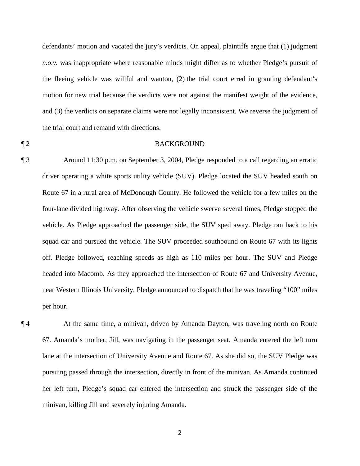defendants' motion and vacated the jury's verdicts. On appeal, plaintiffs argue that (1) judgment *n.o.v.* was inappropriate where reasonable minds might differ as to whether Pledge's pursuit of the fleeing vehicle was willful and wanton, (2) the trial court erred in granting defendant's motion for new trial because the verdicts were not against the manifest weight of the evidence, and (3) the verdicts on separate claims were not legally inconsistent. We reverse the judgment of the trial court and remand with directions.

# ¶ 2 BACKGROUND

¶ 3 Around 11:30 p.m. on September 3, 2004, Pledge responded to a call regarding an erratic driver operating a white sports utility vehicle (SUV). Pledge located the SUV headed south on Route 67 in a rural area of McDonough County. He followed the vehicle for a few miles on the four-lane divided highway. After observing the vehicle swerve several times, Pledge stopped the vehicle. As Pledge approached the passenger side, the SUV sped away. Pledge ran back to his squad car and pursued the vehicle. The SUV proceeded southbound on Route 67 with its lights off. Pledge followed, reaching speeds as high as 110 miles per hour. The SUV and Pledge headed into Macomb. As they approached the intersection of Route 67 and University Avenue, near Western Illinois University, Pledge announced to dispatch that he was traveling "100" miles per hour.

¶ 4 At the same time, a minivan, driven by Amanda Dayton, was traveling north on Route 67. Amanda's mother, Jill, was navigating in the passenger seat. Amanda entered the left turn lane at the intersection of University Avenue and Route 67. As she did so, the SUV Pledge was pursuing passed through the intersection, directly in front of the minivan. As Amanda continued her left turn, Pledge's squad car entered the intersection and struck the passenger side of the minivan, killing Jill and severely injuring Amanda.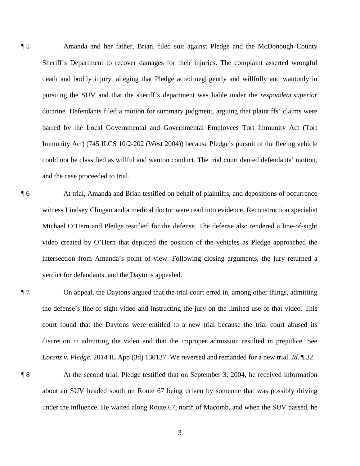¶ 5 Amanda and her father, Brian, filed suit against Pledge and the McDonough County Sheriff's Department to recover damages for their injuries. The complaint asserted wrongful death and bodily injury, alleging that Pledge acted negligently and willfully and wantonly in pursuing the SUV and that the sheriff's department was liable under the *respondeat superior* doctrine. Defendants filed a motion for summary judgment, arguing that plaintiffs' claims were barred by the Local Governmental and Governmental Employees Tort Immunity Act (Tort Immunity Act) (745 ILCS 10/2-202 (West 2004)) because Pledge's pursuit of the fleeing vehicle could not be classified as willful and wanton conduct. The trial court denied defendants' motion, and the case proceeded to trial.

¶ 6 At trial, Amanda and Brian testified on behalf of plaintiffs, and depositions of occurrence witness Lindsey Clingan and a medical doctor were read into evidence. Reconstruction specialist Michael O'Hern and Pledge testified for the defense. The defense also tendered a line-of-sight video created by O'Hern that depicted the position of the vehicles as Pledge approached the intersection from Amanda's point of view. Following closing arguments, the jury returned a verdict for defendants, and the Daytons appealed.

¶ 7 On appeal, the Daytons argued that the trial court erred in, among other things, admitting the defense's line-of-sight video and instructing the jury on the limited use of that video. This court found that the Daytons were entitled to a new trial because the trial court abused its discretion in admitting the video and that the improper admission resulted in prejudice. See *Lorenz v. Pledge*, 2014 IL App (3d) 130137. We reversed and remanded for a new trial. *Id.* ¶ 32.

¶ 8 At the second trial, Pledge testified that on September 3, 2004, he received information about an SUV headed south on Route 67 being driven by someone that was possibly driving under the influence. He waited along Route 67, north of Macomb, and when the SUV passed, he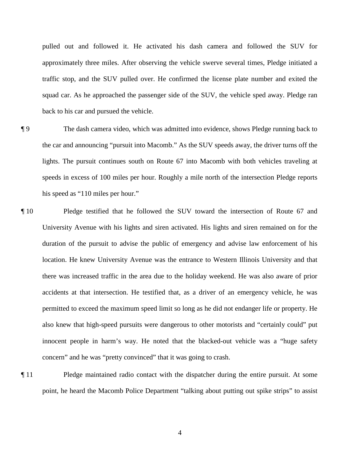pulled out and followed it. He activated his dash camera and followed the SUV for approximately three miles. After observing the vehicle swerve several times, Pledge initiated a traffic stop, and the SUV pulled over. He confirmed the license plate number and exited the squad car. As he approached the passenger side of the SUV, the vehicle sped away. Pledge ran back to his car and pursued the vehicle.

¶ 9 The dash camera video, which was admitted into evidence, shows Pledge running back to the car and announcing "pursuit into Macomb." As the SUV speeds away, the driver turns off the lights. The pursuit continues south on Route 67 into Macomb with both vehicles traveling at speeds in excess of 100 miles per hour. Roughly a mile north of the intersection Pledge reports his speed as "110 miles per hour."

- ¶ 10 Pledge testified that he followed the SUV toward the intersection of Route 67 and University Avenue with his lights and siren activated. His lights and siren remained on for the duration of the pursuit to advise the public of emergency and advise law enforcement of his location. He knew University Avenue was the entrance to Western Illinois University and that there was increased traffic in the area due to the holiday weekend. He was also aware of prior accidents at that intersection. He testified that, as a driver of an emergency vehicle, he was permitted to exceed the maximum speed limit so long as he did not endanger life or property. He also knew that high-speed pursuits were dangerous to other motorists and "certainly could" put innocent people in harm's way. He noted that the blacked-out vehicle was a "huge safety concern" and he was "pretty convinced" that it was going to crash.
- ¶ 11 Pledge maintained radio contact with the dispatcher during the entire pursuit. At some point, he heard the Macomb Police Department "talking about putting out spike strips" to assist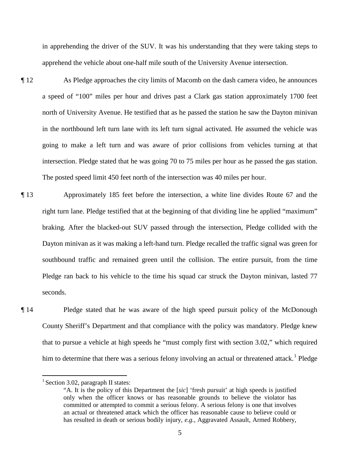in apprehending the driver of the SUV. It was his understanding that they were taking steps to apprehend the vehicle about one-half mile south of the University Avenue intersection.

- ¶ 12 As Pledge approaches the city limits of Macomb on the dash camera video, he announces a speed of "100" miles per hour and drives past a Clark gas station approximately 1700 feet north of University Avenue. He testified that as he passed the station he saw the Dayton minivan in the northbound left turn lane with its left turn signal activated. He assumed the vehicle was going to make a left turn and was aware of prior collisions from vehicles turning at that intersection. Pledge stated that he was going 70 to 75 miles per hour as he passed the gas station. The posted speed limit 450 feet north of the intersection was 40 miles per hour.
- ¶ 13 Approximately 185 feet before the intersection, a white line divides Route 67 and the right turn lane. Pledge testified that at the beginning of that dividing line he applied "maximum" braking. After the blacked-out SUV passed through the intersection, Pledge collided with the Dayton minivan as it was making a left-hand turn. Pledge recalled the traffic signal was green for southbound traffic and remained green until the collision. The entire pursuit, from the time Pledge ran back to his vehicle to the time his squad car struck the Dayton minivan, lasted 77 seconds.
- ¶ 14 Pledge stated that he was aware of the high speed pursuit policy of the McDonough County Sheriff's Department and that compliance with the policy was mandatory. Pledge knew that to pursue a vehicle at high speeds he "must comply first with section 3.02," which required him to determine that there was a serious felony involving an actual or threatened attack.<sup>1</sup> Pledge

 $\overline{a}$ 

 $<sup>1</sup>$  Section 3.02, paragraph II states:</sup>

<sup>&</sup>quot;A. It is the policy of this Department the [*sic*] 'fresh pursuit' at high speeds is justified only when the officer knows or has reasonable grounds to believe the violator has committed or attempted to commit a serious felony. A serious felony is one that involves an actual or threatened attack which the officer has reasonable cause to believe could or has resulted in death or serious bodily injury, *e.g.*, Aggravated Assault, Armed Robbery,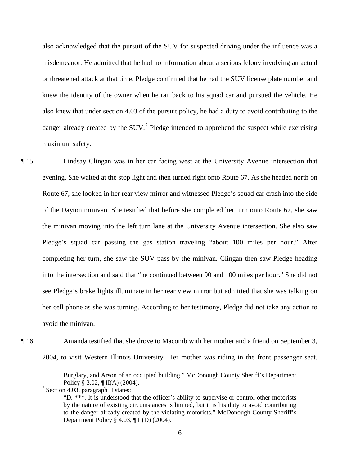also acknowledged that the pursuit of the SUV for suspected driving under the influence was a misdemeanor. He admitted that he had no information about a serious felony involving an actual or threatened attack at that time. Pledge confirmed that he had the SUV license plate number and knew the identity of the owner when he ran back to his squad car and pursued the vehicle. He also knew that under section 4.03 of the pursuit policy, he had a duty to avoid contributing to the danger already created by the  $SUV<sup>2</sup>$  Pledge intended to apprehend the suspect while exercising maximum safety.

¶ 15 Lindsay Clingan was in her car facing west at the University Avenue intersection that evening. She waited at the stop light and then turned right onto Route 67. As she headed north on Route 67, she looked in her rear view mirror and witnessed Pledge's squad car crash into the side of the Dayton minivan. She testified that before she completed her turn onto Route 67, she saw the minivan moving into the left turn lane at the University Avenue intersection. She also saw Pledge's squad car passing the gas station traveling "about 100 miles per hour." After completing her turn, she saw the SUV pass by the minivan. Clingan then saw Pledge heading into the intersection and said that "he continued between 90 and 100 miles per hour." She did not see Pledge's brake lights illuminate in her rear view mirror but admitted that she was talking on her cell phone as she was turning. According to her testimony, Pledge did not take any action to avoid the minivan.

¶ 16 Amanda testified that she drove to Macomb with her mother and a friend on September 3, 2004, to visit Western Illinois University. Her mother was riding in the front passenger seat.

 $2$  Section 4.03, paragraph II states:

 $\overline{a}$ 

Burglary, and Arson of an occupied building." McDonough County Sheriff's Department Policy § 3.02, ¶ II(A) (2004).

<sup>&</sup>quot;D. \*\*\*. It is understood that the officer's ability to supervise or control other motorists by the nature of existing circumstances is limited, but it is his duty to avoid contributing to the danger already created by the violating motorists." McDonough County Sheriff's Department Policy § 4.03, ¶ II(D) (2004).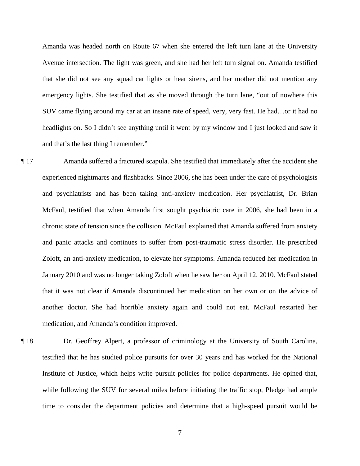Amanda was headed north on Route 67 when she entered the left turn lane at the University Avenue intersection. The light was green, and she had her left turn signal on. Amanda testified that she did not see any squad car lights or hear sirens, and her mother did not mention any emergency lights. She testified that as she moved through the turn lane, "out of nowhere this SUV came flying around my car at an insane rate of speed, very, very fast. He had…or it had no headlights on. So I didn't see anything until it went by my window and I just looked and saw it and that's the last thing I remember."

- ¶ 17 Amanda suffered a fractured scapula. She testified that immediately after the accident she experienced nightmares and flashbacks. Since 2006, she has been under the care of psychologists and psychiatrists and has been taking anti-anxiety medication. Her psychiatrist, Dr. Brian McFaul, testified that when Amanda first sought psychiatric care in 2006, she had been in a chronic state of tension since the collision. McFaul explained that Amanda suffered from anxiety and panic attacks and continues to suffer from post-traumatic stress disorder. He prescribed Zoloft, an anti-anxiety medication, to elevate her symptoms. Amanda reduced her medication in January 2010 and was no longer taking Zoloft when he saw her on April 12, 2010. McFaul stated that it was not clear if Amanda discontinued her medication on her own or on the advice of another doctor. She had horrible anxiety again and could not eat. McFaul restarted her medication, and Amanda's condition improved.
- ¶ 18 Dr. Geoffrey Alpert, a professor of criminology at the University of South Carolina, testified that he has studied police pursuits for over 30 years and has worked for the National Institute of Justice, which helps write pursuit policies for police departments. He opined that, while following the SUV for several miles before initiating the traffic stop, Pledge had ample time to consider the department policies and determine that a high-speed pursuit would be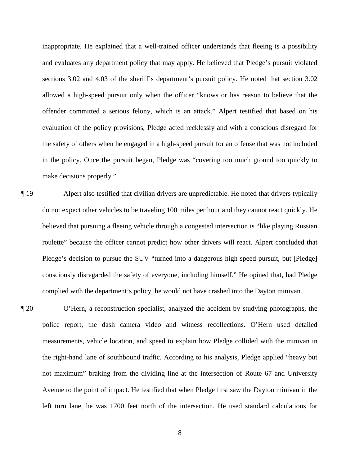inappropriate. He explained that a well-trained officer understands that fleeing is a possibility and evaluates any department policy that may apply. He believed that Pledge's pursuit violated sections 3.02 and 4.03 of the sheriff's department's pursuit policy. He noted that section 3.02 allowed a high-speed pursuit only when the officer "knows or has reason to believe that the offender committed a serious felony, which is an attack." Alpert testified that based on his evaluation of the policy provisions, Pledge acted recklessly and with a conscious disregard for the safety of others when he engaged in a high-speed pursuit for an offense that was not included in the policy. Once the pursuit began, Pledge was "covering too much ground too quickly to make decisions properly."

- ¶ 19 Alpert also testified that civilian drivers are unpredictable. He noted that drivers typically do not expect other vehicles to be traveling 100 miles per hour and they cannot react quickly. He believed that pursuing a fleeing vehicle through a congested intersection is "like playing Russian roulette" because the officer cannot predict how other drivers will react. Alpert concluded that Pledge's decision to pursue the SUV "turned into a dangerous high speed pursuit, but [Pledge] consciously disregarded the safety of everyone, including himself." He opined that, had Pledge complied with the department's policy, he would not have crashed into the Dayton minivan.
- ¶ 20 O'Hern, a reconstruction specialist, analyzed the accident by studying photographs, the police report, the dash camera video and witness recollections. O'Hern used detailed measurements, vehicle location, and speed to explain how Pledge collided with the minivan in the right-hand lane of southbound traffic. According to his analysis, Pledge applied "heavy but not maximum" braking from the dividing line at the intersection of Route 67 and University Avenue to the point of impact. He testified that when Pledge first saw the Dayton minivan in the left turn lane, he was 1700 feet north of the intersection. He used standard calculations for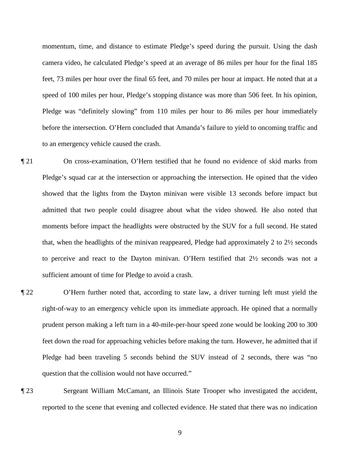momentum, time, and distance to estimate Pledge's speed during the pursuit. Using the dash camera video, he calculated Pledge's speed at an average of 86 miles per hour for the final 185 feet, 73 miles per hour over the final 65 feet, and 70 miles per hour at impact. He noted that at a speed of 100 miles per hour, Pledge's stopping distance was more than 506 feet. In his opinion, Pledge was "definitely slowing" from 110 miles per hour to 86 miles per hour immediately before the intersection. O'Hern concluded that Amanda's failure to yield to oncoming traffic and to an emergency vehicle caused the crash.

- ¶ 21 On cross-examination, O'Hern testified that he found no evidence of skid marks from Pledge's squad car at the intersection or approaching the intersection. He opined that the video showed that the lights from the Dayton minivan were visible 13 seconds before impact but admitted that two people could disagree about what the video showed. He also noted that moments before impact the headlights were obstructed by the SUV for a full second. He stated that, when the headlights of the minivan reappeared, Pledge had approximately 2 to 2½ seconds to perceive and react to the Dayton minivan. O'Hern testified that 2½ seconds was not a sufficient amount of time for Pledge to avoid a crash.
- ¶ 22 O'Hern further noted that, according to state law, a driver turning left must yield the right-of-way to an emergency vehicle upon its immediate approach. He opined that a normally prudent person making a left turn in a 40-mile-per-hour speed zone would be looking 200 to 300 feet down the road for approaching vehicles before making the turn. However, he admitted that if Pledge had been traveling 5 seconds behind the SUV instead of 2 seconds, there was "no question that the collision would not have occurred."
- ¶ 23 Sergeant William McCamant, an Illinois State Trooper who investigated the accident, reported to the scene that evening and collected evidence. He stated that there was no indication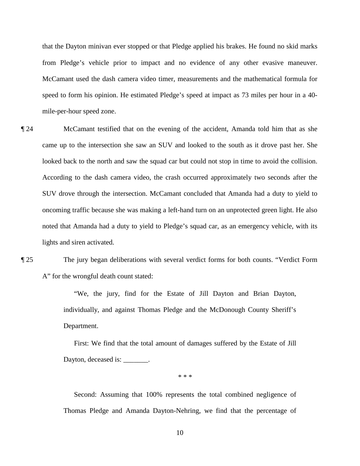that the Dayton minivan ever stopped or that Pledge applied his brakes. He found no skid marks from Pledge's vehicle prior to impact and no evidence of any other evasive maneuver. McCamant used the dash camera video timer, measurements and the mathematical formula for speed to form his opinion. He estimated Pledge's speed at impact as 73 miles per hour in a 40 mile-per-hour speed zone.

¶ 24 McCamant testified that on the evening of the accident, Amanda told him that as she came up to the intersection she saw an SUV and looked to the south as it drove past her. She looked back to the north and saw the squad car but could not stop in time to avoid the collision. According to the dash camera video, the crash occurred approximately two seconds after the SUV drove through the intersection. McCamant concluded that Amanda had a duty to yield to oncoming traffic because she was making a left-hand turn on an unprotected green light. He also noted that Amanda had a duty to yield to Pledge's squad car, as an emergency vehicle, with its lights and siren activated.

¶ 25 The jury began deliberations with several verdict forms for both counts. "Verdict Form A" for the wrongful death count stated:

> "We, the jury, find for the Estate of Jill Dayton and Brian Dayton, individually, and against Thomas Pledge and the McDonough County Sheriff's Department.

> First: We find that the total amount of damages suffered by the Estate of Jill Dayton, deceased is:  $\qquad \qquad$

> > \* \* \*

 Second: Assuming that 100% represents the total combined negligence of Thomas Pledge and Amanda Dayton-Nehring, we find that the percentage of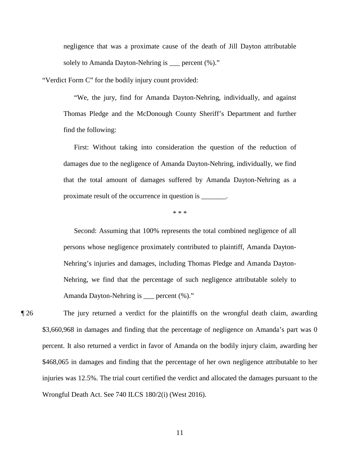negligence that was a proximate cause of the death of Jill Dayton attributable solely to Amanda Dayton-Nehring is \_\_\_ percent  $(\%).$ "

"Verdict Form C" for the bodily injury count provided:

"We, the jury, find for Amanda Dayton-Nehring, individually, and against Thomas Pledge and the McDonough County Sheriff's Department and further find the following:

First: Without taking into consideration the question of the reduction of damages due to the negligence of Amanda Dayton-Nehring, individually, we find that the total amount of damages suffered by Amanda Dayton-Nehring as a proximate result of the occurrence in question is \_\_\_\_\_\_\_.

#### \* \* \*

 Second: Assuming that 100% represents the total combined negligence of all persons whose negligence proximately contributed to plaintiff, Amanda Dayton-Nehring's injuries and damages, including Thomas Pledge and Amanda Dayton-Nehring, we find that the percentage of such negligence attributable solely to Amanda Dayton-Nehring is \_\_\_ percent (%)."

¶ 26 The jury returned a verdict for the plaintiffs on the wrongful death claim, awarding \$3,660,968 in damages and finding that the percentage of negligence on Amanda's part was 0 percent. It also returned a verdict in favor of Amanda on the bodily injury claim, awarding her \$468,065 in damages and finding that the percentage of her own negligence attributable to her injuries was 12.5%. The trial court certified the verdict and allocated the damages pursuant to the Wrongful Death Act. See 740 ILCS 180/2(i) (West 2016).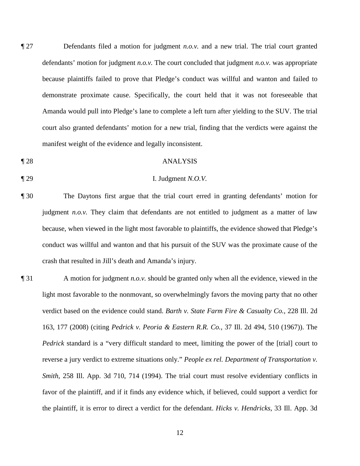¶ 27 Defendants filed a motion for judgment *n.o.v.* and a new trial. The trial court granted defendants' motion for judgment *n.o.v.* The court concluded that judgment *n.o.v.* was appropriate because plaintiffs failed to prove that Pledge's conduct was willful and wanton and failed to demonstrate proximate cause. Specifically, the court held that it was not foreseeable that Amanda would pull into Pledge's lane to complete a left turn after yielding to the SUV. The trial court also granted defendants' motion for a new trial, finding that the verdicts were against the manifest weight of the evidence and legally inconsistent.

### ¶ 28 ANALYSIS

¶ 29 I. Judgment *N.O.V.*

# ¶ 30 The Daytons first argue that the trial court erred in granting defendants' motion for judgment *n.o.v.* They claim that defendants are not entitled to judgment as a matter of law because, when viewed in the light most favorable to plaintiffs, the evidence showed that Pledge's conduct was willful and wanton and that his pursuit of the SUV was the proximate cause of the

crash that resulted in Jill's death and Amanda's injury.

¶ 31 A motion for judgment *n.o.v.* should be granted only when all the evidence, viewed in the light most favorable to the nonmovant, so overwhelmingly favors the moving party that no other verdict based on the evidence could stand. *Barth v. State Farm Fire & Casualty Co.*, 228 Ill. 2d 163, 177 (2008) (citing *Pedrick v. Peoria & Eastern R.R. Co.*, 37 Ill. 2d 494, 510 (1967)). The *Pedrick* standard is a "very difficult standard to meet, limiting the power of the [trial] court to reverse a jury verdict to extreme situations only." *People ex rel. Department of Transportation v. Smith*, 258 Ill. App. 3d 710, 714 (1994). The trial court must resolve evidentiary conflicts in favor of the plaintiff, and if it finds any evidence which, if believed, could support a verdict for the plaintiff, it is error to direct a verdict for the defendant. *Hicks v. Hendricks*, 33 Ill. App. 3d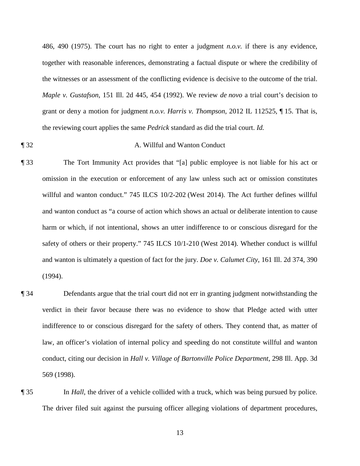486, 490 (1975). The court has no right to enter a judgment *n.o.v.* if there is any evidence, together with reasonable inferences, demonstrating a factual dispute or where the credibility of the witnesses or an assessment of the conflicting evidence is decisive to the outcome of the trial. *Maple v. Gustafson*, 151 Ill. 2d 445, 454 (1992). We review *de novo* a trial court's decision to grant or deny a motion for judgment *n.o.v. Harris v. Thompson*, 2012 IL 112525, ¶ 15. That is, the reviewing court applies the same *Pedrick* standard as did the trial court. *Id.*

- ¶ 32 A. Willful and Wanton Conduct
- ¶ 33 The Tort Immunity Act provides that "[a] public employee is not liable for his act or omission in the execution or enforcement of any law unless such act or omission constitutes willful and wanton conduct." 745 ILCS 10/2-202 (West 2014). The Act further defines willful and wanton conduct as "a course of action which shows an actual or deliberate intention to cause harm or which, if not intentional, shows an utter indifference to or conscious disregard for the safety of others or their property." 745 ILCS 10/1-210 (West 2014). Whether conduct is willful and wanton is ultimately a question of fact for the jury. *Doe v. Calumet City*, 161 Ill. 2d 374, 390 (1994).
- ¶ 34 Defendants argue that the trial court did not err in granting judgment notwithstanding the verdict in their favor because there was no evidence to show that Pledge acted with utter indifference to or conscious disregard for the safety of others. They contend that, as matter of law, an officer's violation of internal policy and speeding do not constitute willful and wanton conduct, citing our decision in *Hall v. Village of Bartonville Police Department*, 298 Ill. App. 3d 569 (1998).
- ¶ 35 In *Hall*, the driver of a vehicle collided with a truck, which was being pursued by police. The driver filed suit against the pursuing officer alleging violations of department procedures,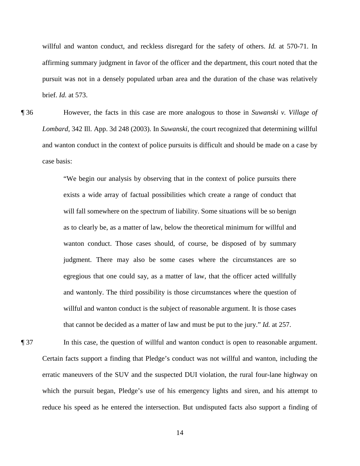willful and wanton conduct, and reckless disregard for the safety of others. *Id.* at 570-71. In affirming summary judgment in favor of the officer and the department, this court noted that the pursuit was not in a densely populated urban area and the duration of the chase was relatively brief. *Id.* at 573.

¶ 36 However, the facts in this case are more analogous to those in *Suwanski v. Village of Lombard*, 342 Ill. App. 3d 248 (2003). In *Suwanski*, the court recognized that determining willful and wanton conduct in the context of police pursuits is difficult and should be made on a case by case basis:

> "We begin our analysis by observing that in the context of police pursuits there exists a wide array of factual possibilities which create a range of conduct that will fall somewhere on the spectrum of liability. Some situations will be so benign as to clearly be, as a matter of law, below the theoretical minimum for willful and wanton conduct. Those cases should, of course, be disposed of by summary judgment. There may also be some cases where the circumstances are so egregious that one could say, as a matter of law, that the officer acted willfully and wantonly. The third possibility is those circumstances where the question of willful and wanton conduct is the subject of reasonable argument. It is those cases that cannot be decided as a matter of law and must be put to the jury." *Id.* at 257.

¶ 37 In this case, the question of willful and wanton conduct is open to reasonable argument. Certain facts support a finding that Pledge's conduct was not willful and wanton, including the erratic maneuvers of the SUV and the suspected DUI violation, the rural four-lane highway on which the pursuit began, Pledge's use of his emergency lights and siren, and his attempt to reduce his speed as he entered the intersection. But undisputed facts also support a finding of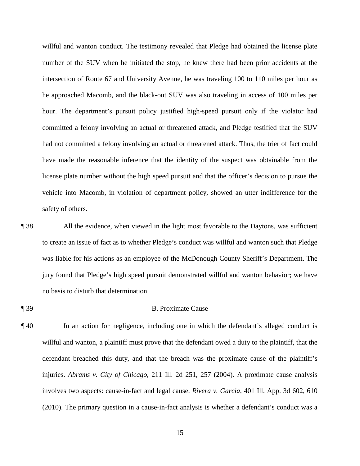willful and wanton conduct. The testimony revealed that Pledge had obtained the license plate number of the SUV when he initiated the stop, he knew there had been prior accidents at the intersection of Route 67 and University Avenue, he was traveling 100 to 110 miles per hour as he approached Macomb, and the black-out SUV was also traveling in access of 100 miles per hour. The department's pursuit policy justified high-speed pursuit only if the violator had committed a felony involving an actual or threatened attack, and Pledge testified that the SUV had not committed a felony involving an actual or threatened attack. Thus, the trier of fact could have made the reasonable inference that the identity of the suspect was obtainable from the license plate number without the high speed pursuit and that the officer's decision to pursue the vehicle into Macomb, in violation of department policy, showed an utter indifference for the safety of others.

¶ 38 All the evidence, when viewed in the light most favorable to the Daytons, was sufficient to create an issue of fact as to whether Pledge's conduct was willful and wanton such that Pledge was liable for his actions as an employee of the McDonough County Sheriff's Department. The jury found that Pledge's high speed pursuit demonstrated willful and wanton behavior; we have no basis to disturb that determination.

# ¶ 39 B. Proximate Cause

¶ 40 In an action for negligence, including one in which the defendant's alleged conduct is willful and wanton, a plaintiff must prove that the defendant owed a duty to the plaintiff, that the defendant breached this duty, and that the breach was the proximate cause of the plaintiff's injuries. *Abrams v. City of Chicago*, 211 Ill. 2d 251, 257 (2004). A proximate cause analysis involves two aspects: cause-in-fact and legal cause. *Rivera v. Garcia*, 401 Ill. App. 3d 602, 610 (2010). The primary question in a cause-in-fact analysis is whether a defendant's conduct was a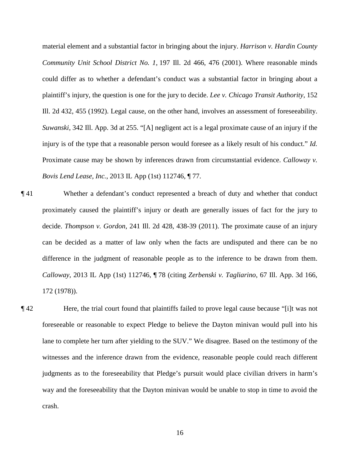material element and a substantial factor in bringing about the injury. *Harrison v. Hardin County Community Unit School District No. 1*, 197 Ill. 2d 466, 476 (2001). Where reasonable minds could differ as to whether a defendant's conduct was a substantial factor in bringing about a plaintiff's injury, the question is one for the jury to decide. *Lee v. Chicago Transit Authority*, 152 Ill. 2d 432, 455 (1992). Legal cause, on the other hand, involves an assessment of foreseeability. *Suwanski*, 342 Ill. App. 3d at 255. "[A] negligent act is a legal proximate cause of an injury if the injury is of the type that a reasonable person would foresee as a likely result of his conduct." *Id.* Proximate cause may be shown by inferences drawn from circumstantial evidence. *Calloway v. Bovis Lend Lease, Inc.*, 2013 IL App (1st) 112746, ¶ 77.

- ¶ 41 Whether a defendant's conduct represented a breach of duty and whether that conduct proximately caused the plaintiff's injury or death are generally issues of fact for the jury to decide. *Thompson v. Gordon*, 241 Ill. 2d 428, 438-39 (2011). The proximate cause of an injury can be decided as a matter of law only when the facts are undisputed and there can be no difference in the judgment of reasonable people as to the inference to be drawn from them. *Calloway*, 2013 IL App (1st) 112746, ¶ 78 (citing *Zerbenski v. Tagliarino*, 67 Ill. App. 3d 166, 172 (1978)).
- ¶ 42 Here, the trial court found that plaintiffs failed to prove legal cause because "[i]t was not foreseeable or reasonable to expect Pledge to believe the Dayton minivan would pull into his lane to complete her turn after yielding to the SUV." We disagree. Based on the testimony of the witnesses and the inference drawn from the evidence, reasonable people could reach different judgments as to the foreseeability that Pledge's pursuit would place civilian drivers in harm's way and the foreseeability that the Dayton minivan would be unable to stop in time to avoid the crash.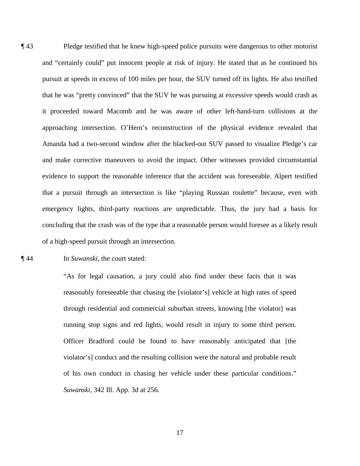¶ 43 Pledge testified that he knew high-speed police pursuits were dangerous to other motorist and "certainly could" put innocent people at risk of injury. He stated that as he continued his pursuit at speeds in excess of 100 miles per hour, the SUV turned off its lights. He also testified that he was "pretty convinced" that the SUV he was pursuing at excessive speeds would crash as it proceeded toward Macomb and he was aware of other left-hand-turn collisions at the approaching intersection. O'Hern's reconstruction of the physical evidence revealed that Amanda had a two-second window after the blacked-out SUV passed to visualize Pledge's car and make corrective maneuvers to avoid the impact. Other witnesses provided circumstantial evidence to support the reasonable inference that the accident was foreseeable. Alpert testified that a pursuit through an intersection is like "playing Russian roulette" because, even with emergency lights, third-party reactions are unpredictable. Thus, the jury had a basis for concluding that the crash was of the type that a reasonable person would foresee as a likely result of a high-speed pursuit through an intersection.

¶ 44 In *Suwanski*, the court stated:

"As for legal causation, a jury could also find under these facts that it was reasonably foreseeable that chasing the [violator's] vehicle at high rates of speed through residential and commercial suburban streets, knowing [the violator] was running stop signs and red lights, would result in injury to some third person. Officer Bradford could be found to have reasonably anticipated that [the violator's] conduct and the resulting collision were the natural and probable result of his own conduct in chasing her vehicle under these particular conditions." *Suwanski*, 342 Ill. App. 3d at 256.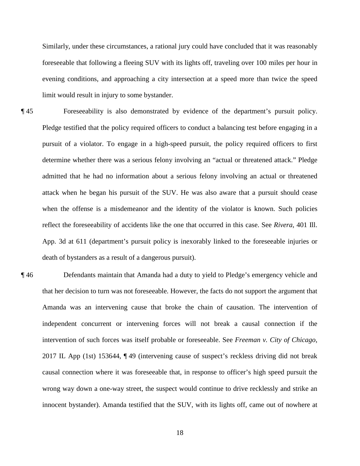Similarly, under these circumstances, a rational jury could have concluded that it was reasonably foreseeable that following a fleeing SUV with its lights off, traveling over 100 miles per hour in evening conditions, and approaching a city intersection at a speed more than twice the speed limit would result in injury to some bystander.

- ¶ 45 Foreseeability is also demonstrated by evidence of the department's pursuit policy. Pledge testified that the policy required officers to conduct a balancing test before engaging in a pursuit of a violator. To engage in a high-speed pursuit, the policy required officers to first determine whether there was a serious felony involving an "actual or threatened attack." Pledge admitted that he had no information about a serious felony involving an actual or threatened attack when he began his pursuit of the SUV. He was also aware that a pursuit should cease when the offense is a misdemeanor and the identity of the violator is known. Such policies reflect the foreseeability of accidents like the one that occurred in this case. See *Rivera*, 401 Ill. App. 3d at 611 (department's pursuit policy is inexorably linked to the foreseeable injuries or death of bystanders as a result of a dangerous pursuit).
- ¶ 46 Defendants maintain that Amanda had a duty to yield to Pledge's emergency vehicle and that her decision to turn was not foreseeable. However, the facts do not support the argument that Amanda was an intervening cause that broke the chain of causation. The intervention of independent concurrent or intervening forces will not break a causal connection if the intervention of such forces was itself probable or foreseeable. See *Freeman v. City of Chicago*, 2017 IL App (1st) 153644, ¶ 49 (intervening cause of suspect's reckless driving did not break causal connection where it was foreseeable that, in response to officer's high speed pursuit the wrong way down a one-way street, the suspect would continue to drive recklessly and strike an innocent bystander). Amanda testified that the SUV, with its lights off, came out of nowhere at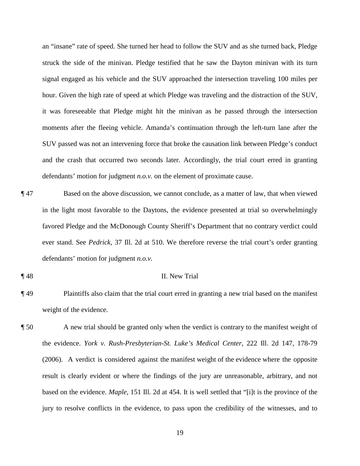an "insane" rate of speed. She turned her head to follow the SUV and as she turned back, Pledge struck the side of the minivan. Pledge testified that he saw the Dayton minivan with its turn signal engaged as his vehicle and the SUV approached the intersection traveling 100 miles per hour. Given the high rate of speed at which Pledge was traveling and the distraction of the SUV, it was foreseeable that Pledge might hit the minivan as he passed through the intersection moments after the fleeing vehicle. Amanda's continuation through the left-turn lane after the SUV passed was not an intervening force that broke the causation link between Pledge's conduct and the crash that occurred two seconds later. Accordingly, the trial court erred in granting defendants' motion for judgment *n.o.v.* on the element of proximate cause.

- ¶ 47 Based on the above discussion, we cannot conclude, as a matter of law, that when viewed in the light most favorable to the Daytons, the evidence presented at trial so overwhelmingly favored Pledge and the McDonough County Sheriff's Department that no contrary verdict could ever stand. See *Pedrick*, 37 Ill. 2d at 510. We therefore reverse the trial court's order granting defendants' motion for judgment *n.o.v.*
- 

# ¶ 48 II. New Trial

- ¶ 49 Plaintiffs also claim that the trial court erred in granting a new trial based on the manifest weight of the evidence.
- ¶ 50 A new trial should be granted only when the verdict is contrary to the manifest weight of the evidence. *York v. Rush-Presbyterian-St. Luke's Medical Center*, 222 Ill. 2d 147, 178-79 (2006). A verdict is considered against the manifest weight of the evidence where the opposite result is clearly evident or where the findings of the jury are unreasonable, arbitrary, and not based on the evidence. *Maple*, 151 Ill. 2d at 454. It is well settled that "[i]t is the province of the jury to resolve conflicts in the evidence, to pass upon the credibility of the witnesses, and to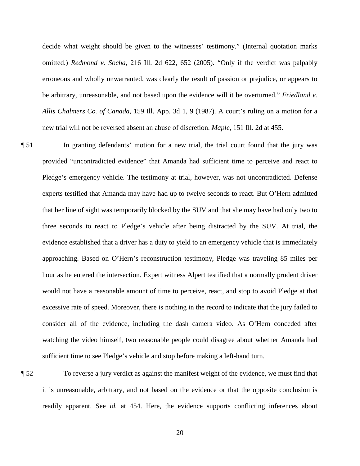decide what weight should be given to the witnesses' testimony." (Internal quotation marks omitted.) *Redmond v. Socha*, 216 Ill. 2d 622, 652 (2005). "Only if the verdict was palpably erroneous and wholly unwarranted, was clearly the result of passion or prejudice, or appears to be arbitrary, unreasonable, and not based upon the evidence will it be overturned." *Friedland v. Allis Chalmers Co. of Canada*, 159 Ill. App. 3d 1, 9 (1987). A court's ruling on a motion for a new trial will not be reversed absent an abuse of discretion. *Maple*, 151 Ill. 2d at 455.

¶ 51 In granting defendants' motion for a new trial, the trial court found that the jury was provided "uncontradicted evidence" that Amanda had sufficient time to perceive and react to Pledge's emergency vehicle. The testimony at trial, however, was not uncontradicted. Defense experts testified that Amanda may have had up to twelve seconds to react. But O'Hern admitted that her line of sight was temporarily blocked by the SUV and that she may have had only two to three seconds to react to Pledge's vehicle after being distracted by the SUV. At trial, the evidence established that a driver has a duty to yield to an emergency vehicle that is immediately approaching. Based on O'Hern's reconstruction testimony, Pledge was traveling 85 miles per hour as he entered the intersection. Expert witness Alpert testified that a normally prudent driver would not have a reasonable amount of time to perceive, react, and stop to avoid Pledge at that excessive rate of speed. Moreover, there is nothing in the record to indicate that the jury failed to consider all of the evidence, including the dash camera video. As O'Hern conceded after watching the video himself, two reasonable people could disagree about whether Amanda had sufficient time to see Pledge's vehicle and stop before making a left-hand turn.

¶ 52 To reverse a jury verdict as against the manifest weight of the evidence, we must find that it is unreasonable, arbitrary, and not based on the evidence or that the opposite conclusion is readily apparent. See *id.* at 454. Here, the evidence supports conflicting inferences about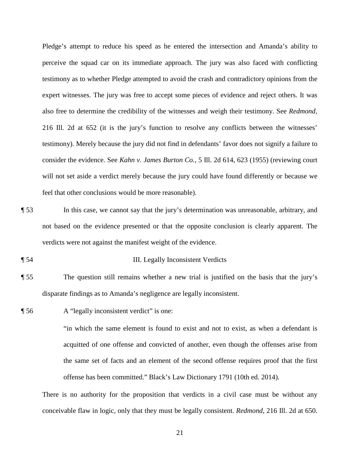Pledge's attempt to reduce his speed as he entered the intersection and Amanda's ability to perceive the squad car on its immediate approach. The jury was also faced with conflicting testimony as to whether Pledge attempted to avoid the crash and contradictory opinions from the expert witnesses. The jury was free to accept some pieces of evidence and reject others. It was also free to determine the credibility of the witnesses and weigh their testimony. See *Redmond*, 216 Ill. 2d at 652 (it is the jury's function to resolve any conflicts between the witnesses' testimony). Merely because the jury did not find in defendants' favor does not signify a failure to consider the evidence. See *Kahn v. James Burton Co.*, 5 Ill. 2d 614, 623 (1955) (reviewing court will not set aside a verdict merely because the jury could have found differently or because we feel that other conclusions would be more reasonable).

- ¶ 53 In this case, we cannot say that the jury's determination was unreasonable, arbitrary, and not based on the evidence presented or that the opposite conclusion is clearly apparent. The verdicts were not against the manifest weight of the evidence.
- ¶ 54 III. Legally Inconsistent Verdicts
- ¶ 55 The question still remains whether a new trial is justified on the basis that the jury's disparate findings as to Amanda's negligence are legally inconsistent.
- ¶ 56 A "legally inconsistent verdict" is one:

"in which the same element is found to exist and not to exist, as when a defendant is acquitted of one offense and convicted of another, even though the offenses arise from the same set of facts and an element of the second offense requires proof that the first offense has been committed." Black's Law Dictionary 1791 (10th ed. 2014).

There is no authority for the proposition that verdicts in a civil case must be without any conceivable flaw in logic, only that they must be legally consistent. *Redmond*, 216 Ill. 2d at 650.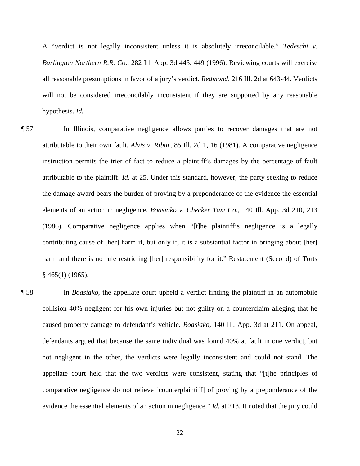A "verdict is not legally inconsistent unless it is absolutely irreconcilable." *Tedeschi v. Burlington Northern R.R. Co.*, 282 Ill. App. 3d 445, 449 (1996). Reviewing courts will exercise all reasonable presumptions in favor of a jury's verdict. *Redmond*, 216 Ill. 2d at 643-44. Verdicts will not be considered irreconcilably inconsistent if they are supported by any reasonable hypothesis. *Id.*

¶ 57 In Illinois, comparative negligence allows parties to recover damages that are not attributable to their own fault. *Alvis v. Ribar*, 85 Ill. 2d 1, 16 (1981). A comparative negligence instruction permits the trier of fact to reduce a plaintiff's damages by the percentage of fault attributable to the plaintiff. *Id.* at 25. Under this standard, however, the party seeking to reduce the damage award bears the burden of proving by a preponderance of the evidence the essential elements of an action in negligence. *Boasiako v. Checker Taxi Co.*, 140 Ill. App. 3d 210, 213 (1986). Comparative negligence applies when "[t]he plaintiff's negligence is a legally contributing cause of [her] harm if, but only if, it is a substantial factor in bringing about [her] harm and there is no rule restricting [her] responsibility for it." Restatement (Second) of Torts § 465(1) (1965).

¶ 58 In *Boasiako*, the appellate court upheld a verdict finding the plaintiff in an automobile collision 40% negligent for his own injuries but not guilty on a counterclaim alleging that he caused property damage to defendant's vehicle. *Boasiako*, 140 Ill. App. 3d at 211. On appeal, defendants argued that because the same individual was found 40% at fault in one verdict, but not negligent in the other, the verdicts were legally inconsistent and could not stand. The appellate court held that the two verdicts were consistent, stating that "[t]he principles of comparative negligence do not relieve [counterplaintiff] of proving by a preponderance of the evidence the essential elements of an action in negligence." *Id.* at 213. It noted that the jury could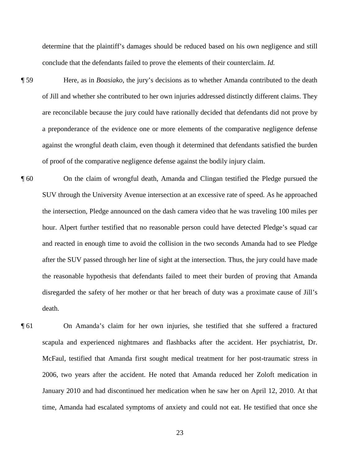determine that the plaintiff's damages should be reduced based on his own negligence and still conclude that the defendants failed to prove the elements of their counterclaim. *Id.*

- ¶ 59 Here, as in *Boasiako*, the jury's decisions as to whether Amanda contributed to the death of Jill and whether she contributed to her own injuries addressed distinctly different claims. They are reconcilable because the jury could have rationally decided that defendants did not prove by a preponderance of the evidence one or more elements of the comparative negligence defense against the wrongful death claim, even though it determined that defendants satisfied the burden of proof of the comparative negligence defense against the bodily injury claim.
- ¶ 60 On the claim of wrongful death, Amanda and Clingan testified the Pledge pursued the SUV through the University Avenue intersection at an excessive rate of speed. As he approached the intersection, Pledge announced on the dash camera video that he was traveling 100 miles per hour. Alpert further testified that no reasonable person could have detected Pledge's squad car and reacted in enough time to avoid the collision in the two seconds Amanda had to see Pledge after the SUV passed through her line of sight at the intersection. Thus, the jury could have made the reasonable hypothesis that defendants failed to meet their burden of proving that Amanda disregarded the safety of her mother or that her breach of duty was a proximate cause of Jill's death.
- ¶ 61 On Amanda's claim for her own injuries, she testified that she suffered a fractured scapula and experienced nightmares and flashbacks after the accident. Her psychiatrist, Dr. McFaul, testified that Amanda first sought medical treatment for her post-traumatic stress in 2006, two years after the accident. He noted that Amanda reduced her Zoloft medication in January 2010 and had discontinued her medication when he saw her on April 12, 2010. At that time, Amanda had escalated symptoms of anxiety and could not eat. He testified that once she